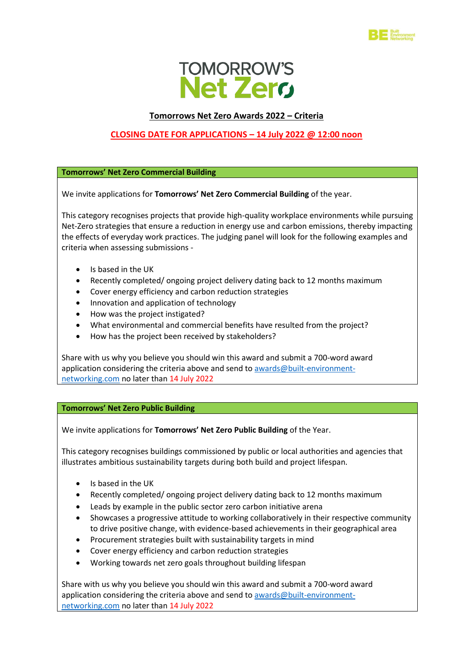



## **Tomorrows Net Zero Awards 2022 – Criteria**

# **CLOSING DATE FOR APPLICATIONS – 14 July 2022 @ 12:00 noon**

**Tomorrows' Net Zero Commercial Building**

We invite applications for **Tomorrows' Net Zero Commercial Building** of the year.

This category recognises projects that provide high-quality workplace environments while pursuing Net-Zero strategies that ensure a reduction in energy use and carbon emissions, thereby impacting the effects of everyday work practices. The judging panel will look for the following examples and criteria when assessing submissions -

- Is based in the UK
- Recently completed/ ongoing project delivery dating back to 12 months maximum
- Cover energy efficiency and carbon reduction strategies
- Innovation and application of technology
- How was the project instigated?
- What environmental and commercial benefits have resulted from the project?
- How has the project been received by stakeholders?

Share with us why you believe you should win this award and submit a 700-word award application considering the criteria above and send to [awards@built-environment](mailto:awards@built-environment-networking.com)[networking.com](mailto:awards@built-environment-networking.com) no later than 14 July 2022

## **Tomorrows' Net Zero Public Building**

We invite applications for **Tomorrows' Net Zero Public Building** of the Year.

This category recognises buildings commissioned by public or local authorities and agencies that illustrates ambitious sustainability targets during both build and project lifespan.

- Is based in the UK
- Recently completed/ ongoing project delivery dating back to 12 months maximum
- Leads by example in the public sector zero carbon initiative arena
- Showcases a progressive attitude to working collaboratively in their respective community to drive positive change, with evidence-based achievements in their geographical area
- Procurement strategies built with sustainability targets in mind
- Cover energy efficiency and carbon reduction strategies
- Working towards net zero goals throughout building lifespan

Share with us why you believe you should win this award and submit a 700-word award application considering the criteria above and send to [awards@built-environment](mailto:awards@built-environment-networking.com)[networking.com](mailto:awards@built-environment-networking.com) no later than 14 July 2022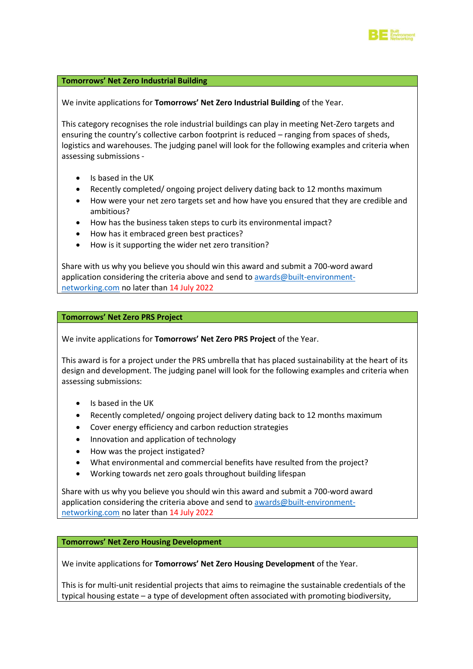

## **Tomorrows' Net Zero Industrial Building**

We invite applications for **Tomorrows' Net Zero Industrial Building** of the Year.

This category recognises the role industrial buildings can play in meeting Net-Zero targets and ensuring the country's collective carbon footprint is reduced – ranging from spaces of sheds, logistics and warehouses. The judging panel will look for the following examples and criteria when assessing submissions -

- Is based in the UK
- Recently completed/ ongoing project delivery dating back to 12 months maximum
- How were your net zero targets set and how have you ensured that they are credible and ambitious?
- How has the business taken steps to curb its environmental impact?
- How has it embraced green best practices?
- How is it supporting the wider net zero transition?

Share with us why you believe you should win this award and submit a 700-word award application considering the criteria above and send to [awards@built-environment](mailto:awards@built-environment-networking.com)[networking.com](mailto:awards@built-environment-networking.com) no later than 14 July 2022

#### **Tomorrows' Net Zero PRS Project**

We invite applications for **Tomorrows' Net Zero PRS Project** of the Year.

This award is for a project under the PRS umbrella that has placed sustainability at the heart of its design and development. The judging panel will look for the following examples and criteria when assessing submissions:

- Is based in the UK
- Recently completed/ ongoing project delivery dating back to 12 months maximum
- Cover energy efficiency and carbon reduction strategies
- Innovation and application of technology
- How was the project instigated?
- What environmental and commercial benefits have resulted from the project?
- Working towards net zero goals throughout building lifespan

Share with us why you believe you should win this award and submit a 700-word award application considering the criteria above and send to [awards@built-environment](mailto:awards@built-environment-networking.com)[networking.com](mailto:awards@built-environment-networking.com) no later than 14 July 2022

**Tomorrows' Net Zero Housing Development**

We invite applications for **Tomorrows' Net Zero Housing Development** of the Year.

This is for multi-unit residential projects that aims to reimagine the sustainable credentials of the typical housing estate – a type of development often associated with promoting biodiversity,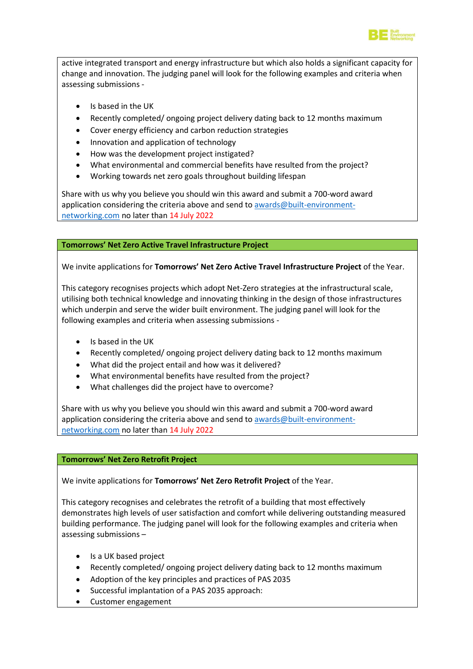

active integrated transport and energy infrastructure but which also holds a significant capacity for change and innovation. The judging panel will look for the following examples and criteria when assessing submissions -

- Is based in the UK
- Recently completed/ ongoing project delivery dating back to 12 months maximum
- Cover energy efficiency and carbon reduction strategies
- Innovation and application of technology
- How was the development project instigated?
- What environmental and commercial benefits have resulted from the project?
- Working towards net zero goals throughout building lifespan

Share with us why you believe you should win this award and submit a 700-word award application considering the criteria above and send to awards $@$  built-environment[networking.com](mailto:awards@built-environment-networking.com) no later than 14 July 2022

## **Tomorrows' Net Zero Active Travel Infrastructure Project**

We invite applications for **Tomorrows' Net Zero Active Travel Infrastructure Project** of the Year.

This category recognises projects which adopt Net-Zero strategies at the infrastructural scale, utilising both technical knowledge and innovating thinking in the design of those infrastructures which underpin and serve the wider built environment. The judging panel will look for the following examples and criteria when assessing submissions -

- Is based in the UK
- Recently completed/ ongoing project delivery dating back to 12 months maximum
- What did the project entail and how was it delivered?
- What environmental benefits have resulted from the project?
- What challenges did the project have to overcome?

Share with us why you believe you should win this award and submit a 700-word award application considering the criteria above and send to [awards@built-environment](mailto:awards@built-environment-networking.com)[networking.com](mailto:awards@built-environment-networking.com) no later than 14 July 2022

## **Tomorrows' Net Zero Retrofit Project**

We invite applications for **Tomorrows' Net Zero Retrofit Project** of the Year.

This category recognises and celebrates the retrofit of a building that most effectively demonstrates high levels of user satisfaction and comfort while delivering outstanding measured building performance. The judging panel will look for the following examples and criteria when assessing submissions –

- Is a UK based project
- Recently completed/ ongoing project delivery dating back to 12 months maximum
- Adoption of the key principles and practices of PAS 2035
- Successful implantation of a PAS 2035 approach:
- Customer engagement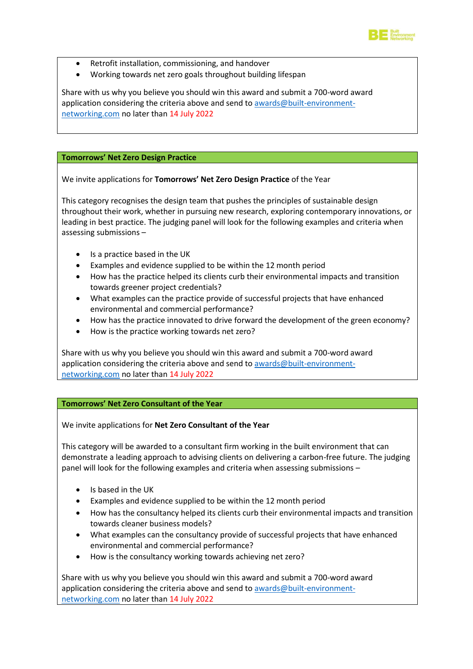

- Retrofit installation, commissioning, and handover
- Working towards net zero goals throughout building lifespan

Share with us why you believe you should win this award and submit a 700-word award application considering the criteria above and send to [awards@built-environment](mailto:awards@built-environment-networking.com)[networking.com](mailto:awards@built-environment-networking.com) no later than 14 July 2022

## **Tomorrows' Net Zero Design Practice**

We invite applications for **Tomorrows' Net Zero Design Practice** of the Year

This category recognises the design team that pushes the principles of sustainable design throughout their work, whether in pursuing new research, exploring contemporary innovations, or leading in best practice. The judging panel will look for the following examples and criteria when assessing submissions –

- Is a practice based in the UK
- Examples and evidence supplied to be within the 12 month period
- How has the practice helped its clients curb their environmental impacts and transition towards greener project credentials?
- What examples can the practice provide of successful projects that have enhanced environmental and commercial performance?
- How has the practice innovated to drive forward the development of the green economy?
- How is the practice working towards net zero?

Share with us why you believe you should win this award and submit a 700-word award application considering the criteria above and send to [awards@built-environment](mailto:awards@built-environment-networking.com)[networking.com](mailto:awards@built-environment-networking.com) no later than 14 July 2022

## **Tomorrows' Net Zero Consultant of the Year**

We invite applications for **Net Zero Consultant of the Year**

This category will be awarded to a consultant firm working in the built environment that can demonstrate a leading approach to advising clients on delivering a carbon-free future. The judging panel will look for the following examples and criteria when assessing submissions –

- Is based in the UK
- Examples and evidence supplied to be within the 12 month period
- How has the consultancy helped its clients curb their environmental impacts and transition towards cleaner business models?
- What examples can the consultancy provide of successful projects that have enhanced environmental and commercial performance?
- How is the consultancy working towards achieving net zero?

Share with us why you believe you should win this award and submit a 700-word award application considering the criteria above and send to [awards@built-environment](mailto:awards@built-environment-networking.com)[networking.com](mailto:awards@built-environment-networking.com) no later than 14 July 2022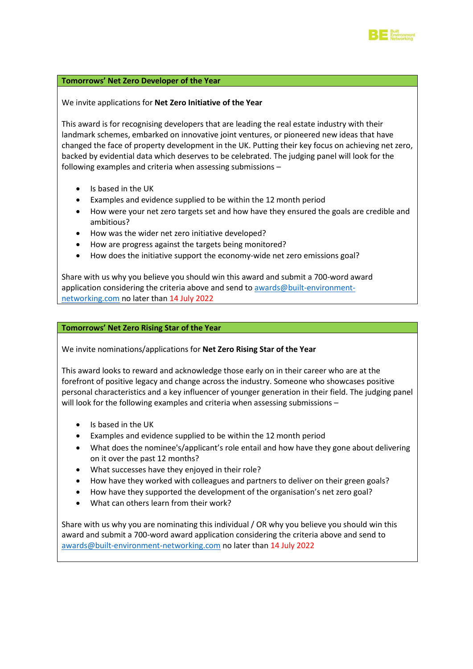

#### **Tomorrows' Net Zero Developer of the Year**

We invite applications for **Net Zero Initiative of the Year**

This award is for recognising developers that are leading the real estate industry with their landmark schemes, embarked on innovative joint ventures, or pioneered new ideas that have changed the face of property development in the UK. Putting their key focus on achieving net zero, backed by evidential data which deserves to be celebrated. The judging panel will look for the following examples and criteria when assessing submissions –

- Is based in the UK
- Examples and evidence supplied to be within the 12 month period
- How were your net zero targets set and how have they ensured the goals are credible and ambitious?
- How was the wider net zero initiative developed?
- How are progress against the targets being monitored?
- How does the initiative support the economy-wide net zero emissions goal?

Share with us why you believe you should win this award and submit a 700-word award application considering the criteria above and send to [awards@built-environment](mailto:awards@built-environment-networking.com)[networking.com](mailto:awards@built-environment-networking.com) no later than 14 July 2022

#### **Tomorrows' Net Zero Rising Star of the Year**

We invite nominations/applications for **Net Zero Rising Star of the Year**

This award looks to reward and acknowledge those early on in their career who are at the forefront of positive legacy and change across the industry. Someone who showcases positive personal characteristics and a key influencer of younger generation in their field. The judging panel will look for the following examples and criteria when assessing submissions -

- Is based in the UK
- Examples and evidence supplied to be within the 12 month period
- What does the nominee's/applicant's role entail and how have they gone about delivering on it over the past 12 months?
- What successes have they enjoyed in their role?
- How have they worked with colleagues and partners to deliver on their green goals?
- How have they supported the development of the organisation's net zero goal?
- What can others learn from their work?

Share with us why you are nominating this individual / OR why you believe you should win this award and submit a 700-word award application considering the criteria above and send to [awards@built-environment-networking.com](mailto:awards@built-environment-networking.com) no later than 14 July 2022